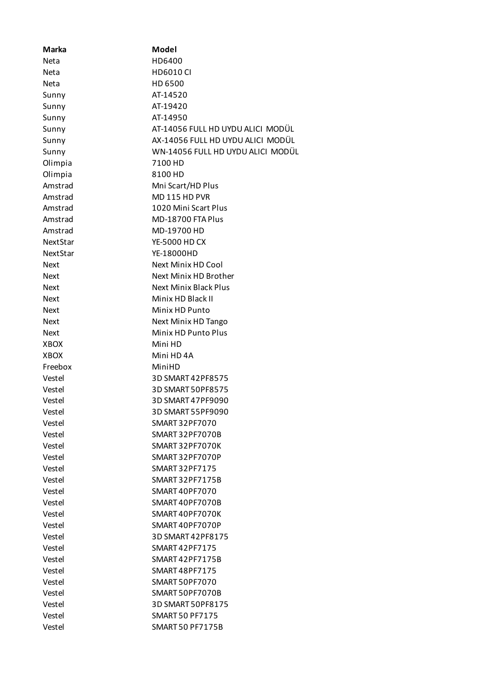| <b>Marka</b> | Model                             |
|--------------|-----------------------------------|
| <b>Neta</b>  | HD6400                            |
| Neta         | <b>HD6010 CI</b>                  |
| <b>Neta</b>  | HD 6500                           |
| Sunny        | AT-14520                          |
| Sunny        | AT-19420                          |
| Sunny        | AT-14950                          |
| Sunny        | AT-14056 FULL HD UYDU ALICI MODÜL |
| Sunny        | AX-14056 FULL HD UYDU ALICI MODÜL |
| Sunny        | WN-14056 FULL HD UYDU ALICI MODÜL |
| Olimpia      | 7100 HD                           |
| Olimpia      | 8100 HD                           |
| Amstrad      | Mni Scart/HD Plus                 |
| Amstrad      | MD 115 HD PVR                     |
| Amstrad      | 1020 Mini Scart Plus              |
| Amstrad      | MD-18700 FTA Plus                 |
| Amstrad      | MD-19700 HD                       |
| NextStar     | <b>YE-5000 HD CX</b>              |
| NextStar     | YE-18000HD                        |
| Next         | Next Minix HD Cool                |
| <b>Next</b>  | Next Minix HD Brother             |
| <b>Next</b>  | <b>Next Minix Black Plus</b>      |
| Next         | Minix HD Black II                 |
| Next         | Minix HD Punto                    |
| <b>Next</b>  | Next Minix HD Tango               |
| <b>Next</b>  | Minix HD Punto Plus               |
| <b>XBOX</b>  | Mini HD                           |
| <b>XBOX</b>  | Mini HD 4A                        |
| Freebox      | MiniHD                            |
| Vestel       | 3D SMART 42PF8575                 |
| Vestel       | 3D SMART 50PF8575                 |
| Vestel       | 3D SMART 47PF9090                 |
| Vestel       | 3D SMART 55PF9090                 |
| Vestel       | SMART 32PF7070                    |
| Vestel       | <b>SMART 32PF7070B</b>            |
| Vestel       | SMART 32PF7070K                   |
| Vestel       | SMART 32PF7070P                   |
| Vestel       | SMART 32PF7175                    |
| Vestel       | <b>SMART 32PF7175B</b>            |
| Vestel       | SMART 40PF7070                    |
| Vestel       | SMART40PF7070B                    |
| Vestel       | SMART 40PF7070K                   |
| Vestel       | SMART40PF7070P                    |
| Vestel       | 3D SMART 42PF8175                 |
| Vestel       | SMART 42PF7175                    |
| Vestel       | SMART42PF7175B                    |
| Vestel       | SMART 48PF7175                    |
| Vestel       | SMART 50PF7070                    |
| Vestel       | SMART 50PF7070B                   |
| Vestel       | 3D SMART 50PF8175                 |
| Vestel       | <b>SMART 50 PF7175</b>            |
| Vestel       | <b>SMART 50 PF7175B</b>           |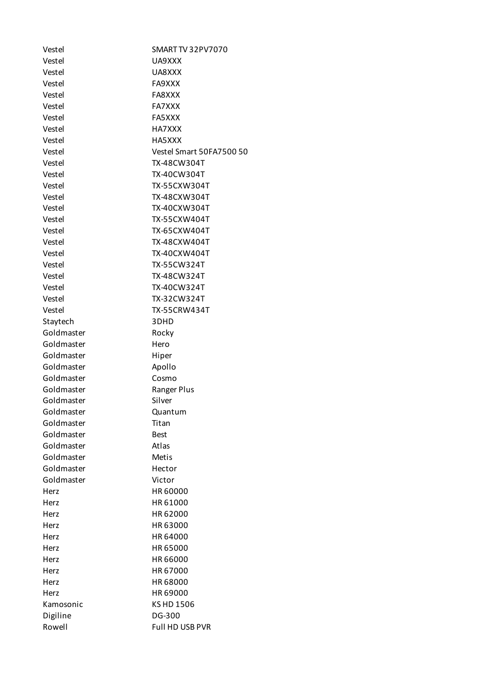| Vestel     | <b>SMART TV 32 PV 70 70</b> |
|------------|-----------------------------|
| Vestel     | UA9XXX                      |
| Vestel     | UA8XXX                      |
| Vestel     | FA9XXX                      |
| Vestel     | FA8XXX                      |
| Vestel     | FA7XXX                      |
| Vestel     | FA5XXX                      |
| Vestel     | HA7XXX                      |
| Vestel     | HA5XXX                      |
| Vestel     | Vestel Smart 50FA7500 50    |
| Vestel     | TX-48CW304T                 |
| Vestel     | TX-40CW304T                 |
| Vestel     | TX-55CXW304T                |
| Vestel     | TX-48CXW304T                |
| Vestel     | TX-40CXW304T                |
| Vestel     | TX-55CXW404T                |
| Vestel     | TX-65CXW404T                |
| Vestel     | TX-48CXW404T                |
| Vestel     | TX-40CXW404T                |
| Vestel     | <b>TX-55CW324T</b>          |
| Vestel     | TX-48CW324T                 |
| Vestel     | TX-40CW324T                 |
| Vestel     | TX-32CW324T                 |
| Vestel     | <b>TX-55CRW434T</b>         |
| Staytech   | 3DHD                        |
| Goldmaster | Rocky                       |
| Goldmaster | Hero                        |
| Goldmaster | Hiper                       |
| Goldmaster | Apollo                      |
| Goldmaster | Cosmo                       |
| Goldmaster | Ranger Plus                 |
| Goldmaster | Silver                      |
| Goldmaster | Quantum                     |
| Goldmaster | Titan                       |
| Goldmaster | <b>Best</b>                 |
| Goldmaster | Atlas                       |
| Goldmaster | <b>Metis</b>                |
| Goldmaster | Hector                      |
| Goldmaster | Victor                      |
| Herz       | HR 60000                    |
| Herz       | HR 61000                    |
| Herz       | HR 62000                    |
| Herz       | HR 63000                    |
| Herz       | HR 64000                    |
| Herz       | HR 65000                    |
| Herz       | HR 66000                    |
| Herz       | HR 67000                    |
| Herz       | HR 68000                    |
| Herz       | HR 69000                    |
| Kamosonic  | KS HD 1506                  |
| Digiline   | DG-300                      |
| Rowell     | Full HD USB PVR             |
|            |                             |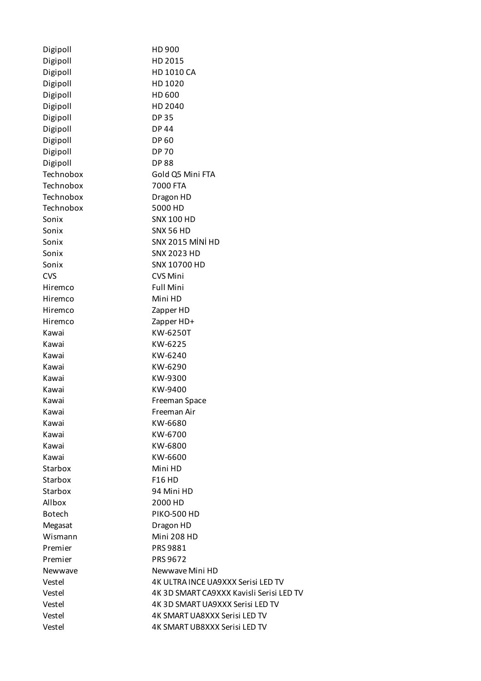| Digipoll      | HD 900                                   |
|---------------|------------------------------------------|
| Digipoll      | HD 2015                                  |
| Digipoll      | HD 1010 CA                               |
| Digipoll      | HD 1020                                  |
| Digipoll      | HD 600                                   |
| Digipoll      | HD 2040                                  |
| Digipoll      | <b>DP35</b>                              |
| Digipoll      | <b>DP44</b>                              |
| Digipoll      | <b>DP60</b>                              |
| Digipoll      | <b>DP 70</b>                             |
| Digipoll      | <b>DP88</b>                              |
| Technobox     | Gold Q5 Mini FTA                         |
| Technobox     | 7000 FTA                                 |
| Technobox     | Dragon HD                                |
| Technobox     | 5000 HD                                  |
| Sonix         | <b>SNX 100 HD</b>                        |
| Sonix         | <b>SNX 56 HD</b>                         |
| Sonix         | SNX 2015 MİNİ HD                         |
| Sonix         | <b>SNX 2023 HD</b>                       |
| Sonix         | SNX 10700 HD                             |
| <b>CVS</b>    | <b>CVS Mini</b>                          |
| Hiremco       | <b>Full Mini</b>                         |
| Hiremco       | Mini HD                                  |
| Hiremco       | Zapper HD                                |
| Hiremco       | Zapper HD+                               |
| Kawai         | KW-6250T                                 |
| Kawai         | KW-6225                                  |
| Kawai         | KW-6240                                  |
| Kawai         | KW-6290                                  |
| Kawai         | KW-9300                                  |
| Kawai         | KW-9400                                  |
| Kawai         | Freeman Space                            |
| Kawai         | Freeman Air                              |
| Kawai         | KW-6680                                  |
| Kawai         | KW-6700                                  |
| Kawai         | KW-6800                                  |
| Kawai         | KW-6600                                  |
| Starbox       | Mini HD                                  |
| Starbox       | <b>F16 HD</b>                            |
| Starbox       | 94 Mini HD                               |
| Allbox        | 2000 HD                                  |
| <b>Botech</b> | <b>PIKO-500 HD</b>                       |
| Megasat       | Dragon HD                                |
| Wismann       | Mini 208 HD                              |
| Premier       | PRS 9881                                 |
| Premier       | <b>PRS 9672</b>                          |
| Newwave       | Newwave Mini HD                          |
| Vestel        | 4K ULTRA INCE UA9XXX Serisi LED TV       |
| Vestel        | 4K 3D SMART CA9XXX Kavisli Serisi LED TV |
| Vestel        | 4K 3D SMART UA9XXX Serisi LED TV         |
| Vestel        | 4K SMART UA8XXX Serisi LED TV            |
| Vestel        | 4K SMART UB8XXX Serisi LED TV            |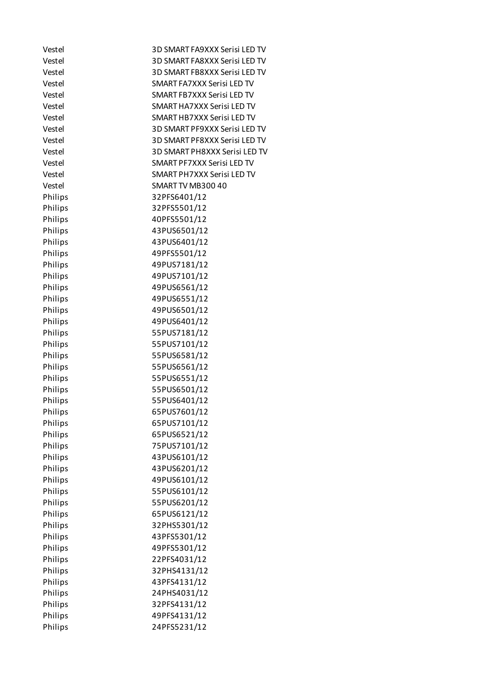| Vestel  | 3D SMART FA9XXX Serisi LED TV |
|---------|-------------------------------|
| Vestel  | 3D SMART FA8XXX Serisi LED TV |
| Vestel  | 3D SMART FB8XXX Serisi LED TV |
| Vestel  | SMART FA7XXX Serisi LED TV    |
| Vestel  | SMART FB7XXX Serisi LED TV    |
| Vestel  | SMART HA7XXX Serisi LED TV    |
| Vestel  | SMART HB7XXX Serisi LED TV    |
| Vestel  | 3D SMART PF9XXX Serisi LED TV |
| Vestel  | 3D SMART PF8XXX Serisi LED TV |
| Vestel  | 3D SMART PH8XXX Serisi LED TV |
| Vestel  | SMART PF7XXX Serisi LED TV    |
| Vestel  | SMART PH7XXX Serisi LED TV    |
| Vestel  | SMART TV MB300 40             |
| Philips | 32PFS6401/12                  |
| Philips | 32PFS5501/12                  |
| Philips | 40PFS5501/12                  |
| Philips | 43PUS6501/12                  |
| Philips | 43PUS6401/12                  |
| Philips | 49PFS5501/12                  |
| Philips | 49PUS7181/12                  |
| Philips | 49PUS7101/12                  |
| Philips | 49PUS6561/12                  |
| Philips | 49PUS6551/12                  |
| Philips | 49PUS6501/12                  |
| Philips | 49PUS6401/12                  |
| Philips | 55PUS7181/12                  |
| Philips | 55PUS7101/12                  |
| Philips | 55PUS6581/12                  |
| Philips | 55PUS6561/12                  |
| Philips | 55PUS6551/12                  |
| Philips | 55PUS6501/12                  |
| Philips | 55PUS6401/12                  |
| Philips | 65PUS7601/12                  |
| Philips | 65PUS7101/12                  |
| Philips | 65PUS6521/12                  |
| Philips | 75PUS7101/12                  |
| Philips | 43PUS6101/12                  |
| Philips | 43PUS6201/12                  |
| Philips | 49PUS6101/12                  |
| Philips | 55PUS6101/12                  |
| Philips | 55PUS6201/12                  |
| Philips | 65PUS6121/12                  |
| Philips | 32PHS5301/12                  |
| Philips | 43PFS5301/12                  |
| Philips | 49PFS5301/12                  |
|         |                               |
| Philips | 22PFS4031/12                  |
| Philips | 32PHS4131/12                  |
| Philips | 43PFS4131/12                  |
| Philips | 24PHS4031/12                  |
| Philips | 32PFS4131/12                  |
| Philips | 49PFS4131/12                  |
| Philips | 24PFS5231/12                  |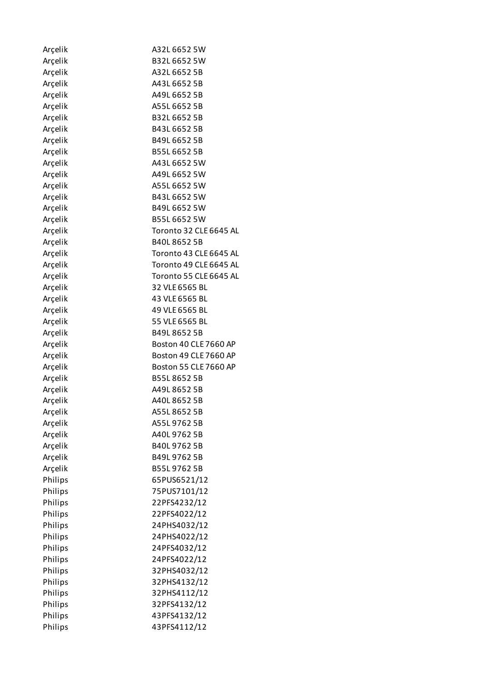| Arçelik | A32L 6652 5W           |
|---------|------------------------|
| Arcelik | B32L 6652 5W           |
| Arçelik | A32L 6652 5B           |
| Arçelik | A43L 6652 5B           |
| Arçelik | A49L 6652 5B           |
| Arçelik | A55L 6652 5B           |
| Arçelik | B32L 6652 5B           |
| Arçelik | B43L 6652 5B           |
| Arçelik | B49L 6652 5B           |
| Arçelik | B55L 6652 5B           |
| Arçelik | A43L 6652 5W           |
| Arçelik | A49L 6652 5W           |
| Arçelik | A55L 6652 5W           |
| Arçelik | B43L 6652 5W           |
| Arçelik | B49L 6652 5W           |
| Arcelik | B55L 6652 5W           |
| Arçelik | Toronto 32 CLE 6645 AL |
| Arçelik | B40L86525B             |
| Arçelik | Toronto 43 CLE 6645 AL |
| Arçelik | Toronto 49 CLE 6645 AL |
| Arçelik | Toronto 55 CLE 6645 AL |
| Arçelik | 32 VLE 6565 BL         |
| Arçelik | 43 VLE 6565 BL         |
| Arçelik | 49 VLE 6565 BL         |
| Arçelik | 55 VLE 6565 BL         |
| Arçelik | B49L 8652 5B           |
| Arçelik | Boston 40 CLE 7660 AP  |
| Arçelik | Boston 49 CLE 7660 AP  |
| Arçelik | Boston 55 CLE 7660 AP  |
| Arçelik | B55L86525B             |
| Arçelik | A49L 8652 5B           |
| Arçelik | A40L 8652 5B           |
| Arçelik | A55L 8652 5B           |
| Arçelik | A55L 9762 5B           |
| Arçelik | A40L 9762 5B           |
| Arçelik | B40L 9762 5B           |
| Arçelik | B49L 9762 5B           |
| Arçelik | B55L97625B             |
| Philips | 65PUS6521/12           |
| Philips | 75PUS7101/12           |
| Philips | 22PFS4232/12           |
| Philips | 22PFS4022/12           |
| Philips | 24PHS4032/12           |
| Philips | 24PHS4022/12           |
| Philips | 24PFS4032/12           |
| Philips | 24PFS4022/12           |
| Philips | 32PHS4032/12           |
| Philips | 32PHS4132/12           |
| Philips | 32PHS4112/12           |
| Philips | 32PFS4132/12           |
| Philips | 43PFS4132/12           |
| Philips | 43PFS4112/12           |
|         |                        |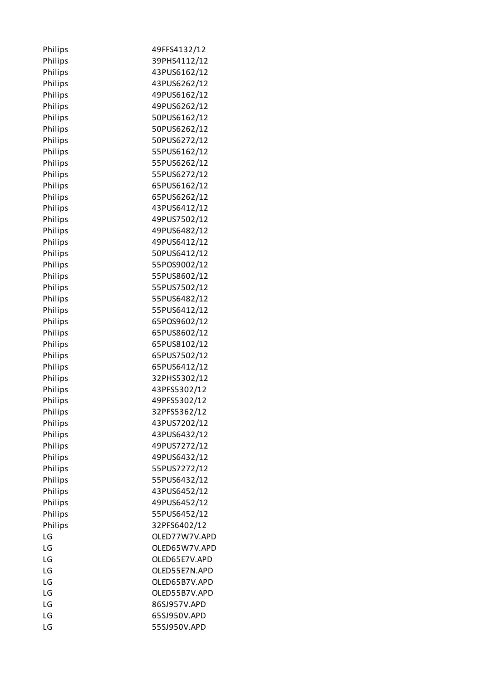| Philips | 49FFS4132/12  |
|---------|---------------|
| Philips | 39PHS4112/12  |
| Philips | 43PUS6162/12  |
| Philips | 43PUS6262/12  |
| Philips | 49PUS6162/12  |
| Philips | 49PUS6262/12  |
| Philips | 50PUS6162/12  |
| Philips | 50PUS6262/12  |
| Philips | 50PUS6272/12  |
| Philips | 55PUS6162/12  |
| Philips | 55PUS6262/12  |
| Philips | 55PUS6272/12  |
| Philips | 65PUS6162/12  |
| Philips | 65PUS6262/12  |
| Philips | 43PUS6412/12  |
| Philips | 49PUS7502/12  |
| Philips | 49PUS6482/12  |
| Philips | 49PUS6412/12  |
| Philips | 50PUS6412/12  |
| Philips | 55POS9002/12  |
| Philips | 55PUS8602/12  |
| Philips | 55PUS7502/12  |
|         |               |
| Philips | 55PUS6482/12  |
| Philips | 55PUS6412/12  |
| Philips | 65POS9602/12  |
| Philips | 65PUS8602/12  |
| Philips | 65PUS8102/12  |
| Philips | 65PUS7502/12  |
| Philips | 65PUS6412/12  |
| Philips | 32PHS5302/12  |
| Philips | 43PFS5302/12  |
| Philips | 49PFS5302/12  |
| Philips | 32PFS5362/12  |
| Philips | 43PUS7202/12  |
| Philips | 43PUS6432/12  |
| Philips | 49PUS7272/12  |
| Philips | 49PUS6432/12  |
| Philips | 55PUS7272/12  |
| Philips | 55PUS6432/12  |
| Philips | 43PUS6452/12  |
| Philips | 49PUS6452/12  |
| Philips | 55PUS6452/12  |
| Philips | 32PFS6402/12  |
| LG      | OLED77W7V.APD |
| LG      | OLED65W7V.APD |
| LG      | OLED65E7V.APD |
| LG      | OLED55E7N.APD |
| LG      | OLED65B7V.APD |
| LG      | OLED55B7V.APD |
| LG      | 86SJ957V.APD  |
| LG      | 65SJ950V.APD  |
| LG      | 55SJ950V.APD  |
|         |               |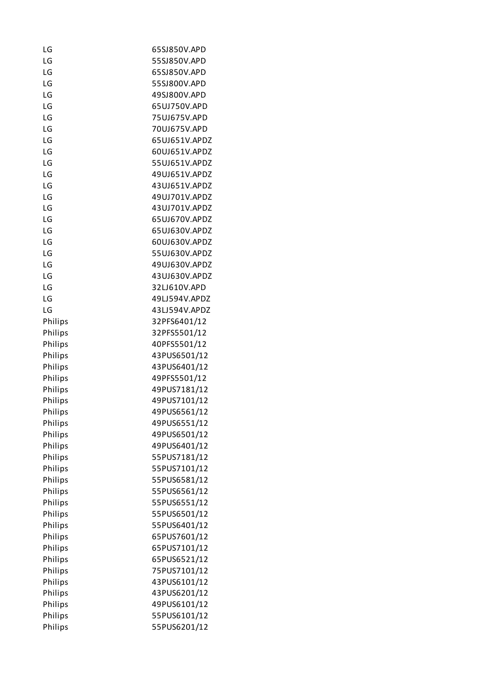| LG      | 65SJ850V.APD  |
|---------|---------------|
| LG      | 55SJ850V.APD  |
| LG      | 65SJ850V.APD  |
| LG      | 55SJ800V.APD  |
| LG      | 49SJ800V.APD  |
| LG      | 65UJ750V.APD  |
| LG      | 75UJ675V.APD  |
| LG      | 70UJ675V.APD  |
| LG      | 65UJ651V.APDZ |
| LG      | 60UJ651V.APDZ |
| LG      | 55UJ651V.APDZ |
| LG      | 49UJ651V.APDZ |
| LG      | 43UJ651V.APDZ |
| LG      | 49UJ701V.APDZ |
| LG      | 43UJ701V.APDZ |
| LG      | 65UJ670V.APDZ |
| LG      | 65UJ630V.APDZ |
| LG      | 60UJ630V.APDZ |
| LG      | 55UJ630V.APDZ |
| LG      | 49UJ630V.APDZ |
| LG      | 43UJ630V.APDZ |
| LG      | 32LJ610V.APD  |
| LG      | 49LJ594V.APDZ |
| LG      | 43LJ594V.APDZ |
| Philips | 32PFS6401/12  |
| Philips | 32PFS5501/12  |
| Philips | 40PFS5501/12  |
| Philips | 43PUS6501/12  |
| Philips | 43PUS6401/12  |
| Philips | 49PFS5501/12  |
| Philips | 49PUS7181/12  |
| Philips | 49PUS7101/12  |
| Philips | 49PUS6561/12  |
| Philips | 49PUS6551/12  |
| Philips | 49PUS6501/12  |
| Philips | 49PUS6401/12  |
| Philips | 55PUS7181/12  |
| Philips | 55PUS7101/12  |
| Philips | 55PUS6581/12  |
| Philips | 55PUS6561/12  |
| Philips | 55PUS6551/12  |
| Philips | 55PUS6501/12  |
| Philips | 55PUS6401/12  |
| Philips | 65PUS7601/12  |
| Philips | 65PUS7101/12  |
| Philips | 65PUS6521/12  |
| Philips | 75PUS7101/12  |
| Philips | 43PUS6101/12  |
| Philips | 43PUS6201/12  |
| Philips | 49PUS6101/12  |
| Philips | 55PUS6101/12  |
| Philips | 55PUS6201/12  |
|         |               |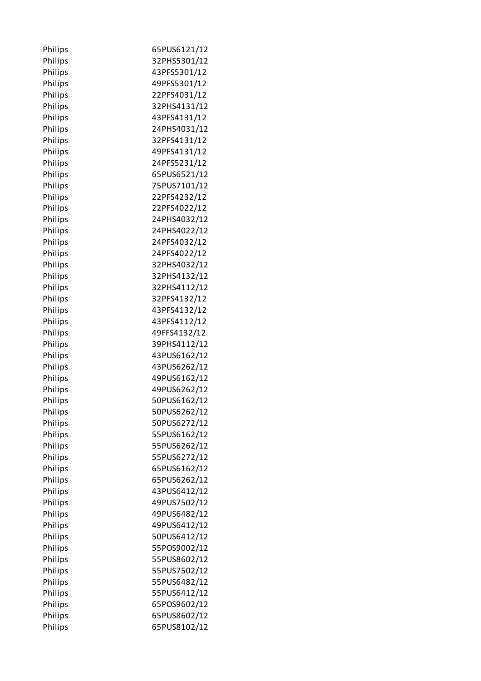| Philips | 65PUS6121/12 |
|---------|--------------|
| Philips | 32PHS5301/12 |
| Philips | 43PFS5301/12 |
| Philips | 49PFS5301/12 |
| Philips | 22PFS4031/12 |
| Philips | 32PHS4131/12 |
| Philips | 43PFS4131/12 |
| Philips | 24PHS4031/12 |
| Philips | 32PFS4131/12 |
| Philips | 49PFS4131/12 |
| Philips | 24PFS5231/12 |
| Philips | 65PUS6521/12 |
| Philips | 75PUS7101/12 |
| Philips | 22PFS4232/12 |
| Philips | 22PFS4022/12 |
| Philips | 24PHS4032/12 |
| Philips | 24PHS4022/12 |
| Philips | 24PFS4032/12 |
| Philips | 24PFS4022/12 |
| Philips | 32PHS4032/12 |
| Philips | 32PHS4132/12 |
| Philips | 32PHS4112/12 |
| Philips | 32PFS4132/12 |
| Philips | 43PFS4132/12 |
| Philips | 43PFS4112/12 |
| Philips | 49FFS4132/12 |
| Philips | 39PHS4112/12 |
| Philips | 43PUS6162/12 |
| Philips | 43PUS6262/12 |
| Philips | 49PUS6162/12 |
| Philips | 49PUS6262/12 |
| Philips | 50PUS6162/12 |
| Philips | 50PUS6262/12 |
| Philips | 50PUS6272/12 |
| Philips | 55PUS6162/12 |
| Philips | 55PUS6262/12 |
| Philips | 55PUS6272/12 |
| Philips | 65PUS6162/12 |
| Philips | 65PUS6262/12 |
| Philips | 43PUS6412/12 |
| Philips | 49PUS7502/12 |
| Philips | 49PUS6482/12 |
| Philips | 49PUS6412/12 |
| Philips | 50PUS6412/12 |
| Philips | 55POS9002/12 |
| Philips | 55PUS8602/12 |
| Philips | 55PUS7502/12 |
| Philips | 55PUS6482/12 |
| Philips | 55PUS6412/12 |
| Philips | 65POS9602/12 |
| Philips | 65PUS8602/12 |
| Philips | 65PUS8102/12 |
|         |              |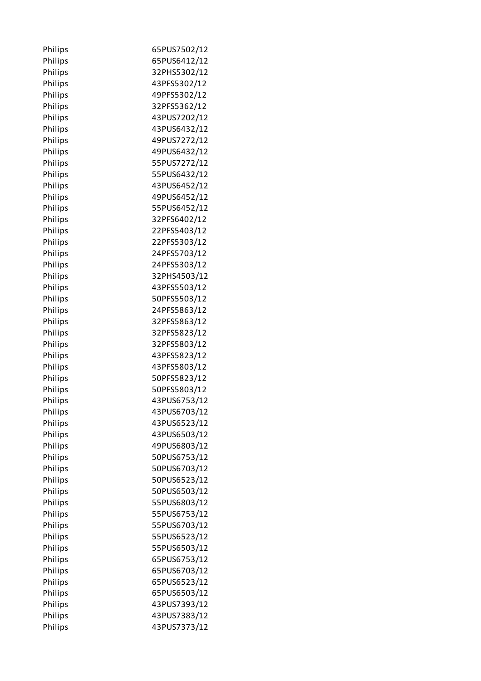| Philips | 65PUS7502/12 |
|---------|--------------|
| Philips | 65PUS6412/12 |
| Philips | 32PHS5302/12 |
| Philips | 43PFS5302/12 |
| Philips | 49PFS5302/12 |
| Philips | 32PFS5362/12 |
| Philips | 43PUS7202/12 |
| Philips | 43PUS6432/12 |
| Philips | 49PUS7272/12 |
| Philips | 49PUS6432/12 |
| Philips | 55PUS7272/12 |
| Philips | 55PUS6432/12 |
| Philips | 43PUS6452/12 |
| Philips | 49PUS6452/12 |
| Philips | 55PUS6452/12 |
| Philips | 32PFS6402/12 |
| Philips | 22PFS5403/12 |
| Philips | 22PFS5303/12 |
| Philips | 24PFS5703/12 |
| Philips | 24PFS5303/12 |
| Philips | 32PHS4503/12 |
| Philips | 43PFS5503/12 |
| Philips | 50PFS5503/12 |
| Philips | 24PFS5863/12 |
| Philips | 32PFS5863/12 |
| Philips | 32PFS5823/12 |
| Philips | 32PFS5803/12 |
| Philips | 43PFS5823/12 |
| Philips | 43PFS5803/12 |
| Philips | 50PFS5823/12 |
| Philips | 50PFS5803/12 |
| Philips | 43PUS6753/12 |
| Philips | 43PUS6703/12 |
| Philips | 43PUS6523/12 |
| Philips | 43PUS6503/12 |
| Philips | 49PUS6803/12 |
| Philips | 50PUS6753/12 |
| Philips | 50PUS6703/12 |
| Philips | 50PUS6523/12 |
| Philips | 50PUS6503/12 |
| Philips | 55PUS6803/12 |
| Philips | 55PUS6753/12 |
| Philips | 55PUS6703/12 |
| Philips | 55PUS6523/12 |
| Philips | 55PUS6503/12 |
| Philips | 65PUS6753/12 |
| Philips | 65PUS6703/12 |
| Philips | 65PUS6523/12 |
| Philips | 65PUS6503/12 |
| Philips | 43PUS7393/12 |
| Philips | 43PUS7383/12 |
| Philips | 43PUS7373/12 |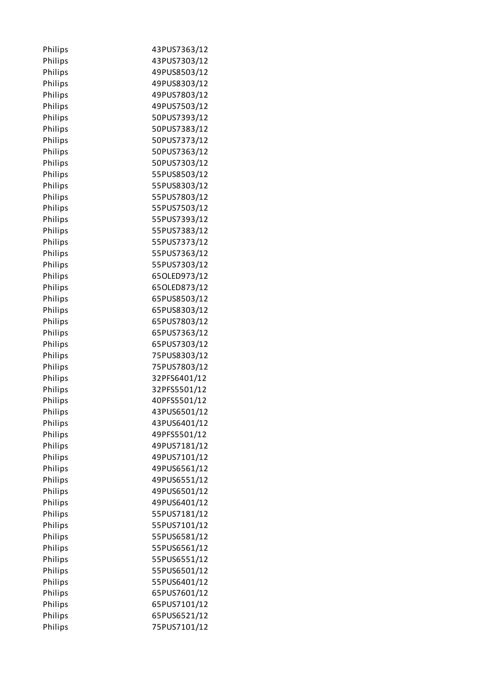| Philips | 43PUS7363/12 |
|---------|--------------|
| Philips | 43PUS7303/12 |
| Philips | 49PUS8503/12 |
| Philips | 49PUS8303/12 |
| Philips | 49PUS7803/12 |
| Philips | 49PUS7503/12 |
| Philips | 50PUS7393/12 |
| Philips | 50PUS7383/12 |
| Philips | 50PUS7373/12 |
| Philips | 50PUS7363/12 |
| Philips | 50PUS7303/12 |
| Philips | 55PUS8503/12 |
| Philips | 55PUS8303/12 |
| Philips | 55PUS7803/12 |
| Philips | 55PUS7503/12 |
| Philips | 55PUS7393/12 |
| Philips | 55PUS7383/12 |
| Philips | 55PUS7373/12 |
| Philips | 55PUS7363/12 |
| Philips | 55PUS7303/12 |
| Philips | 65OLED973/12 |
| Philips | 65OLED873/12 |
| Philips | 65PUS8503/12 |
| Philips | 65PUS8303/12 |
| Philips | 65PUS7803/12 |
| Philips | 65PUS7363/12 |
| Philips | 65PUS7303/12 |
| Philips | 75PUS8303/12 |
| Philips | 75PUS7803/12 |
| Philips | 32PFS6401/12 |
| Philips | 32PFS5501/12 |
| Philips | 40PFS5501/12 |
| Philips | 43PUS6501/12 |
| Philips | 43PUS6401/12 |
| Philips | 49PFS5501/12 |
| Philips | 49PUS7181/12 |
| Philips | 49PUS7101/12 |
| Philips | 49PUS6561/12 |
| Philips | 49PUS6551/12 |
| Philips | 49PUS6501/12 |
| Philips | 49PUS6401/12 |
| Philips | 55PUS7181/12 |
| Philips | 55PUS7101/12 |
| Philips | 55PUS6581/12 |
| Philips | 55PUS6561/12 |
| Philips | 55PUS6551/12 |
| Philips | 55PUS6501/12 |
| Philips | 55PUS6401/12 |
| Philips | 65PUS7601/12 |
| Philips | 65PUS7101/12 |
| Philips | 65PUS6521/12 |
| Philips | 75PUS7101/12 |
|         |              |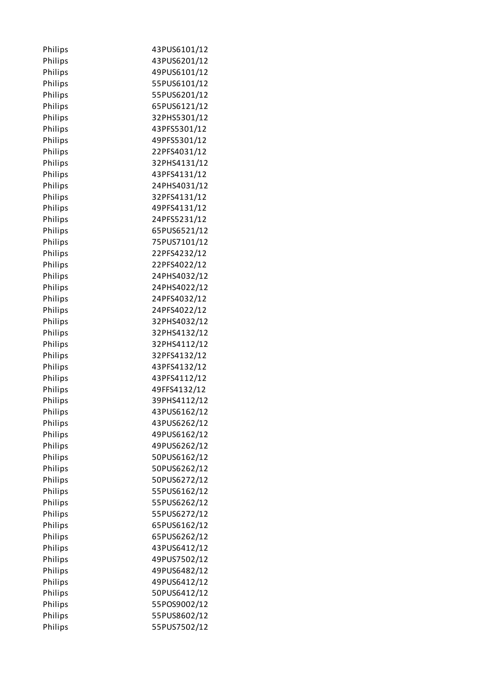| Philips | 43PUS6101/12 |
|---------|--------------|
| Philips | 43PUS6201/12 |
| Philips | 49PUS6101/12 |
| Philips | 55PUS6101/12 |
| Philips | 55PUS6201/12 |
| Philips | 65PUS6121/12 |
| Philips | 32PHS5301/12 |
| Philips | 43PFS5301/12 |
| Philips | 49PFS5301/12 |
| Philips | 22PFS4031/12 |
| Philips | 32PHS4131/12 |
| Philips | 43PFS4131/12 |
| Philips | 24PHS4031/12 |
| Philips | 32PFS4131/12 |
| Philips | 49PFS4131/12 |
| Philips | 24PFS5231/12 |
| Philips | 65PUS6521/12 |
| Philips | 75PUS7101/12 |
| Philips | 22PFS4232/12 |
| Philips | 22PFS4022/12 |
| Philips | 24PHS4032/12 |
| Philips | 24PHS4022/12 |
| Philips | 24PFS4032/12 |
| Philips | 24PFS4022/12 |
| Philips | 32PHS4032/12 |
| Philips | 32PHS4132/12 |
| Philips | 32PHS4112/12 |
| Philips | 32PFS4132/12 |
| Philips | 43PFS4132/12 |
| Philips | 43PFS4112/12 |
| Philips | 49FFS4132/12 |
| Philips | 39PHS4112/12 |
| Philips | 43PUS6162/12 |
| Philips | 43PUS6262/12 |
| Philips | 49PUS6162/12 |
| Philips | 49PUS6262/12 |
| Philips | 50PUS6162/12 |
| Philips | 50PUS6262/12 |
| Philips | 50PUS6272/12 |
| Philips | 55PUS6162/12 |
| Philips | 55PUS6262/12 |
| Philips | 55PUS6272/12 |
| Philips | 65PUS6162/12 |
| Philips | 65PUS6262/12 |
| Philips | 43PUS6412/12 |
| Philips | 49PUS7502/12 |
| Philips | 49PUS6482/12 |
| Philips | 49PUS6412/12 |
| Philips | 50PUS6412/12 |
| Philips | 55POS9002/12 |
| Philips | 55PUS8602/12 |
| Philips | 55PUS7502/12 |
|         |              |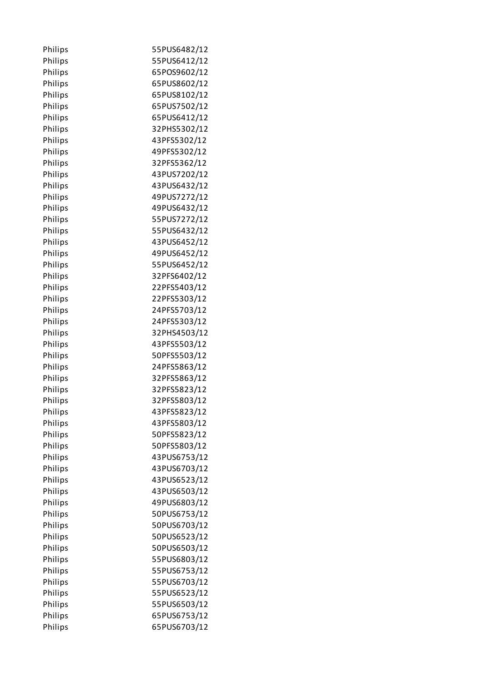| Philips | 55PUS6482/12 |
|---------|--------------|
| Philips | 55PUS6412/12 |
| Philips | 65POS9602/12 |
| Philips | 65PUS8602/12 |
| Philips | 65PUS8102/12 |
| Philips | 65PUS7502/12 |
| Philips | 65PUS6412/12 |
| Philips | 32PHS5302/12 |
| Philips | 43PFS5302/12 |
| Philips | 49PFS5302/12 |
| Philips | 32PFS5362/12 |
| Philips | 43PUS7202/12 |
| Philips | 43PUS6432/12 |
| Philips | 49PUS7272/12 |
| Philips | 49PUS6432/12 |
| Philips | 55PUS7272/12 |
| Philips | 55PUS6432/12 |
| Philips | 43PUS6452/12 |
| Philips | 49PUS6452/12 |
| Philips | 55PUS6452/12 |
| Philips | 32PFS6402/12 |
| Philips | 22PFS5403/12 |
| Philips | 22PFS5303/12 |
| Philips | 24PFS5703/12 |
| Philips | 24PFS5303/12 |
| Philips | 32PHS4503/12 |
| Philips | 43PFS5503/12 |
| Philips | 50PFS5503/12 |
| Philips | 24PFS5863/12 |
| Philips | 32PFS5863/12 |
| Philips | 32PFS5823/12 |
| Philips | 32PFS5803/12 |
| Philips | 43PFS5823/12 |
| Philips | 43PFS5803/12 |
| Philips | 50PFS5823/12 |
| Philips | 50PFS5803/12 |
| Philips | 43PUS6753/12 |
| Philips | 43PUS6703/12 |
| Philips | 43PUS6523/12 |
| Philips | 43PUS6503/12 |
| Philips | 49PUS6803/12 |
| Philips | 50PUS6753/12 |
| Philips | 50PUS6703/12 |
| Philips | 50PUS6523/12 |
| Philips | 50PUS6503/12 |
| Philips | 55PUS6803/12 |
| Philips | 55PUS6753/12 |
| Philips | 55PUS6703/12 |
| Philips | 55PUS6523/12 |
| Philips | 55PUS6503/12 |
| Philips | 65PUS6753/12 |
| Philips | 65PUS6703/12 |
|         |              |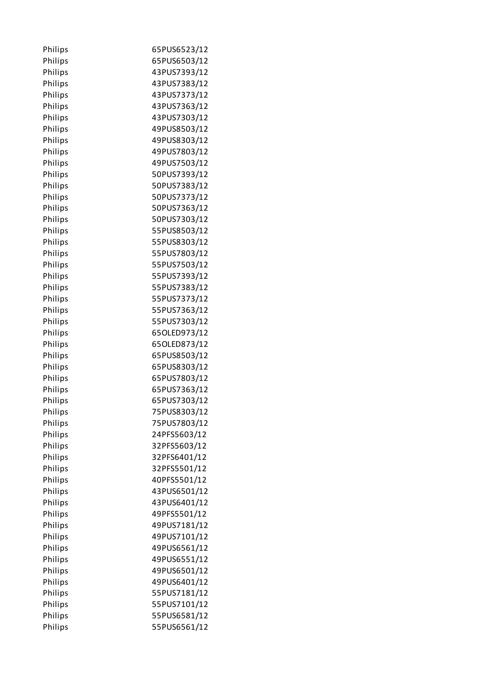| Philips | 65PUS6523/12 |
|---------|--------------|
| Philips | 65PUS6503/12 |
| Philips | 43PUS7393/12 |
| Philips | 43PUS7383/12 |
| Philips | 43PUS7373/12 |
| Philips | 43PUS7363/12 |
| Philips | 43PUS7303/12 |
| Philips | 49PUS8503/12 |
| Philips | 49PUS8303/12 |
| Philips | 49PUS7803/12 |
| Philips | 49PUS7503/12 |
| Philips | 50PUS7393/12 |
| Philips | 50PUS7383/12 |
| Philips | 50PUS7373/12 |
| Philips | 50PUS7363/12 |
| Philips | 50PUS7303/12 |
| Philips | 55PUS8503/12 |
| Philips | 55PUS8303/12 |
| Philips | 55PUS7803/12 |
| Philips | 55PUS7503/12 |
| Philips | 55PUS7393/12 |
| Philips | 55PUS7383/12 |
| Philips | 55PUS7373/12 |
| Philips | 55PUS7363/12 |
| Philips | 55PUS7303/12 |
| Philips | 65OLED973/12 |
| Philips | 65OLED873/12 |
| Philips | 65PUS8503/12 |
| Philips | 65PUS8303/12 |
| Philips | 65PUS7803/12 |
| Philips | 65PUS7363/12 |
| Philips | 65PUS7303/12 |
| Philips | 75PUS8303/12 |
| Philips | 75PUS7803/12 |
| Philips | 24PFS5603/12 |
| Philips | 32PFS5603/12 |
| Philips | 32PFS6401/12 |
| Philips | 32PFS5501/12 |
| Philips | 40PFS5501/12 |
| Philips | 43PUS6501/12 |
| Philips | 43PUS6401/12 |
| Philips | 49PFS5501/12 |
| Philips | 49PUS7181/12 |
| Philips | 49PUS7101/12 |
| Philips | 49PUS6561/12 |
| Philips | 49PUS6551/12 |
| Philips | 49PUS6501/12 |
| Philips | 49PUS6401/12 |
| Philips | 55PUS7181/12 |
| Philips | 55PUS7101/12 |
| Philips | 55PUS6581/12 |
| Philips | 55PUS6561/12 |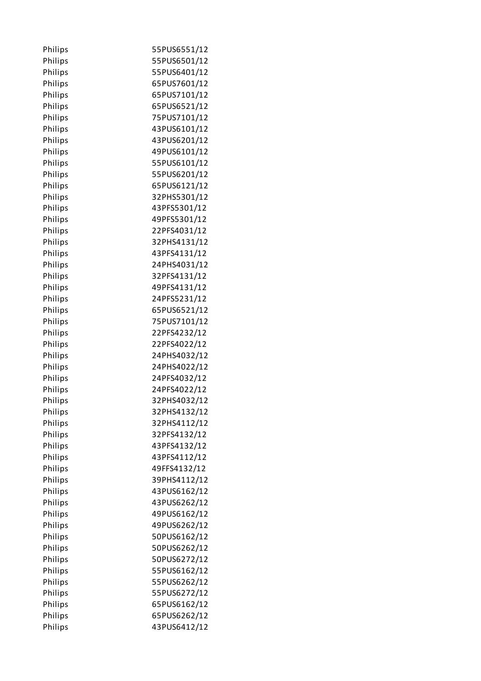| Philips | 55PUS6551/12 |
|---------|--------------|
| Philips | 55PUS6501/12 |
| Philips | 55PUS6401/12 |
| Philips | 65PUS7601/12 |
| Philips | 65PUS7101/12 |
| Philips | 65PUS6521/12 |
| Philips | 75PUS7101/12 |
| Philips | 43PUS6101/12 |
| Philips | 43PUS6201/12 |
| Philips | 49PUS6101/12 |
| Philips | 55PUS6101/12 |
| Philips | 55PUS6201/12 |
| Philips | 65PUS6121/12 |
| Philips | 32PHS5301/12 |
| Philips | 43PFS5301/12 |
| Philips | 49PFS5301/12 |
| Philips | 22PFS4031/12 |
| Philips | 32PHS4131/12 |
| Philips | 43PFS4131/12 |
| Philips | 24PHS4031/12 |
| Philips | 32PFS4131/12 |
| Philips | 49PFS4131/12 |
| Philips | 24PFS5231/12 |
| Philips | 65PUS6521/12 |
| Philips | 75PUS7101/12 |
| Philips | 22PFS4232/12 |
| Philips | 22PFS4022/12 |
| Philips | 24PHS4032/12 |
| Philips | 24PHS4022/12 |
| Philips | 24PFS4032/12 |
| Philips | 24PFS4022/12 |
| Philips | 32PHS4032/12 |
| Philips | 32PHS4132/12 |
| Philips | 32PHS4112/12 |
| Philips | 32PFS4132/12 |
| Philips | 43PFS4132/12 |
| Philips | 43PFS4112/12 |
| Philips | 49FFS4132/12 |
| Philips | 39PHS4112/12 |
| Philips | 43PUS6162/12 |
| Philips | 43PUS6262/12 |
| Philips | 49PUS6162/12 |
| Philips | 49PUS6262/12 |
| Philips | 50PUS6162/12 |
| Philips | 50PUS6262/12 |
| Philips | 50PUS6272/12 |
| Philips | 55PUS6162/12 |
| Philips | 55PUS6262/12 |
| Philips | 55PUS6272/12 |
| Philips | 65PUS6162/12 |
| Philips | 65PUS6262/12 |
| Philips | 43PUS6412/12 |
|         |              |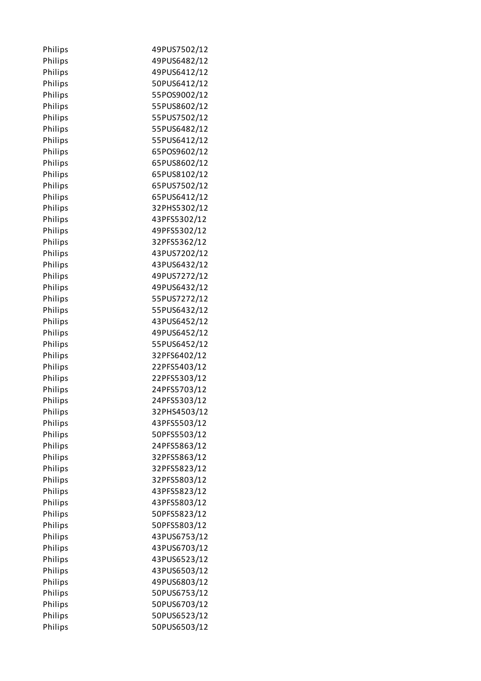| Philips | 49PUS7502/12 |
|---------|--------------|
| Philips | 49PUS6482/12 |
| Philips | 49PUS6412/12 |
| Philips | 50PUS6412/12 |
| Philips | 55POS9002/12 |
| Philips | 55PUS8602/12 |
| Philips | 55PUS7502/12 |
| Philips | 55PUS6482/12 |
| Philips | 55PUS6412/12 |
| Philips | 65POS9602/12 |
| Philips | 65PUS8602/12 |
| Philips | 65PUS8102/12 |
| Philips | 65PUS7502/12 |
| Philips | 65PUS6412/12 |
| Philips | 32PHS5302/12 |
| Philips | 43PFS5302/12 |
| Philips | 49PFS5302/12 |
| Philips | 32PFS5362/12 |
| Philips | 43PUS7202/12 |
| Philips | 43PUS6432/12 |
| Philips | 49PUS7272/12 |
| Philips | 49PUS6432/12 |
| Philips | 55PUS7272/12 |
| Philips | 55PUS6432/12 |
| Philips | 43PUS6452/12 |
| Philips | 49PUS6452/12 |
| Philips | 55PUS6452/12 |
| Philips | 32PFS6402/12 |
| Philips | 22PFS5403/12 |
| Philips | 22PFS5303/12 |
| Philips | 24PFS5703/12 |
| Philips | 24PFS5303/12 |
| Philips | 32PHS4503/12 |
| Philips | 43PFS5503/12 |
| Philips | 50PFS5503/12 |
| Philips | 24PFS5863/12 |
| Philips | 32PFS5863/12 |
| Philips | 32PFS5823/12 |
| Philips | 32PFS5803/12 |
| Philips | 43PFS5823/12 |
| Philips | 43PFS5803/12 |
| Philips | 50PFS5823/12 |
| Philips | 50PFS5803/12 |
| Philips | 43PUS6753/12 |
| Philips | 43PUS6703/12 |
| Philips | 43PUS6523/12 |
| Philips | 43PUS6503/12 |
| Philips | 49PUS6803/12 |
| Philips | 50PUS6753/12 |
| Philips | 50PUS6703/12 |
| Philips | 50PUS6523/12 |
| Philips | 50PUS6503/12 |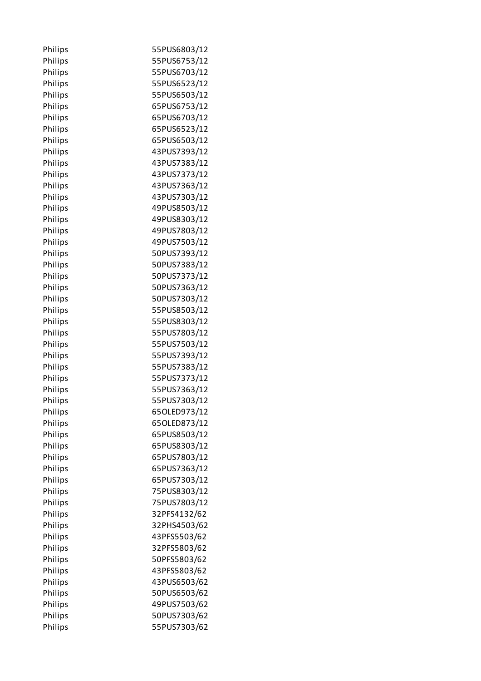| Philips | 55PUS6803/12 |
|---------|--------------|
| Philips | 55PUS6753/12 |
| Philips | 55PUS6703/12 |
| Philips | 55PUS6523/12 |
| Philips | 55PUS6503/12 |
| Philips | 65PUS6753/12 |
| Philips | 65PUS6703/12 |
| Philips | 65PUS6523/12 |
| Philips | 65PUS6503/12 |
| Philips | 43PUS7393/12 |
| Philips | 43PUS7383/12 |
| Philips | 43PUS7373/12 |
| Philips | 43PUS7363/12 |
| Philips | 43PUS7303/12 |
| Philips | 49PUS8503/12 |
| Philips | 49PUS8303/12 |
| Philips | 49PUS7803/12 |
| Philips | 49PUS7503/12 |
| Philips | 50PUS7393/12 |
| Philips | 50PUS7383/12 |
| Philips | 50PUS7373/12 |
| Philips | 50PUS7363/12 |
| Philips | 50PUS7303/12 |
| Philips | 55PUS8503/12 |
| Philips | 55PUS8303/12 |
| Philips | 55PUS7803/12 |
| Philips | 55PUS7503/12 |
| Philips | 55PUS7393/12 |
| Philips | 55PUS7383/12 |
| Philips | 55PUS7373/12 |
| Philips | 55PUS7363/12 |
| Philips | 55PUS7303/12 |
| Philips | 65OLED973/12 |
| Philips | 65OLED873/12 |
| Philips | 65PUS8503/12 |
| Philips | 65PUS8303/12 |
| Philips | 65PUS7803/12 |
| Philips | 65PUS7363/12 |
| Philips | 65PUS7303/12 |
| Philips | 75PUS8303/12 |
| Philips | 75PUS7803/12 |
| Philips | 32PFS4132/62 |
| Philips | 32PHS4503/62 |
| Philips | 43PFS5503/62 |
| Philips | 32PFS5803/62 |
| Philips | 50PFS5803/62 |
| Philips | 43PFS5803/62 |
| Philips | 43PUS6503/62 |
| Philips | 50PUS6503/62 |
| Philips | 49PUS7503/62 |
| Philips | 50PUS7303/62 |
| Philips | 55PUS7303/62 |
|         |              |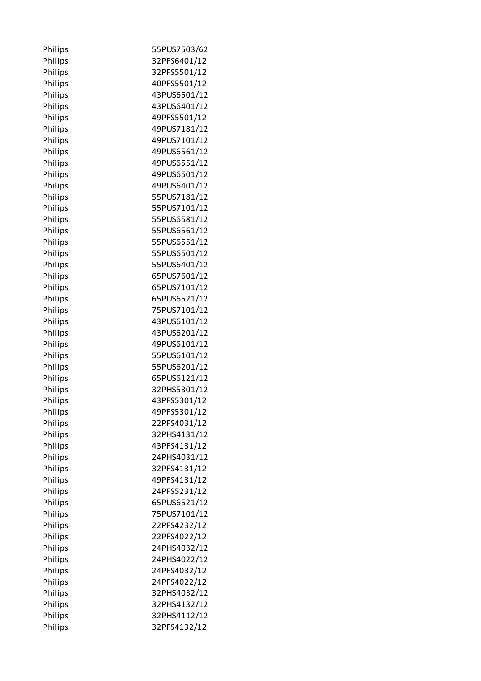| Philips | 55PUS7503/62 |
|---------|--------------|
| Philips | 32PFS6401/12 |
| Philips | 32PFS5501/12 |
| Philips | 40PFS5501/12 |
| Philips | 43PUS6501/12 |
| Philips | 43PUS6401/12 |
| Philips | 49PFS5501/12 |
| Philips | 49PUS7181/12 |
| Philips | 49PUS7101/12 |
| Philips | 49PUS6561/12 |
| Philips | 49PUS6551/12 |
| Philips | 49PUS6501/12 |
| Philips | 49PUS6401/12 |
| Philips | 55PUS7181/12 |
| Philips | 55PUS7101/12 |
| Philips | 55PUS6581/12 |
| Philips | 55PUS6561/12 |
| Philips | 55PUS6551/12 |
| Philips | 55PUS6501/12 |
| Philips | 55PUS6401/12 |
| Philips | 65PUS7601/12 |
| Philips | 65PUS7101/12 |
| Philips | 65PUS6521/12 |
| Philips | 75PUS7101/12 |
| Philips | 43PUS6101/12 |
| Philips | 43PUS6201/12 |
| Philips | 49PUS6101/12 |
| Philips | 55PUS6101/12 |
| Philips | 55PUS6201/12 |
| Philips | 65PUS6121/12 |
| Philips | 32PHS5301/12 |
| Philips | 43PFS5301/12 |
| Philips | 49PFS5301/12 |
| Philips | 22PFS4031/12 |
| Philips | 32PHS4131/12 |
| Philips | 43PFS4131/12 |
| Philips | 24PHS4031/12 |
| Philips | 32PFS4131/12 |
| Philips | 49PFS4131/12 |
| Philips | 24PFS5231/12 |
| Philips | 65PUS6521/12 |
| Philips | 75PUS7101/12 |
| Philips | 22PFS4232/12 |
| Philips | 22PFS4022/12 |
| Philips | 24PHS4032/12 |
| Philips | 24PHS4022/12 |
| Philips | 24PFS4032/12 |
| Philips | 24PFS4022/12 |
| Philips | 32PHS4032/12 |
| Philips | 32PHS4132/12 |
| Philips | 32PHS4112/12 |
| Philips | 32PFS4132/12 |
|         |              |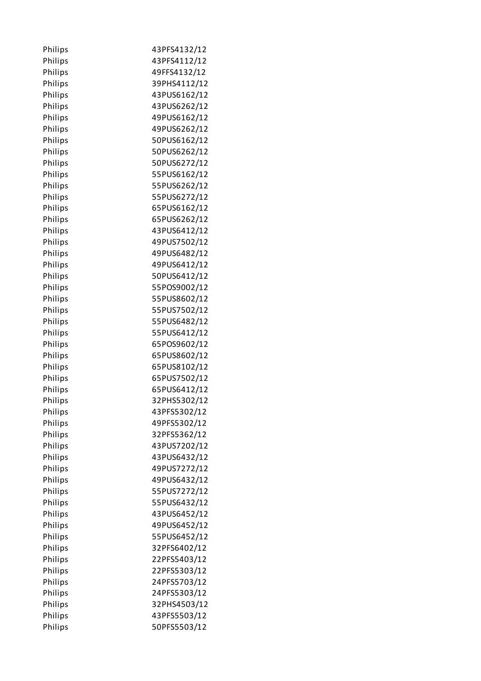| Philips | 43PFS4132/12 |
|---------|--------------|
| Philips | 43PFS4112/12 |
| Philips | 49FFS4132/12 |
| Philips | 39PHS4112/12 |
| Philips | 43PUS6162/12 |
| Philips | 43PUS6262/12 |
| Philips | 49PUS6162/12 |
| Philips | 49PUS6262/12 |
| Philips | 50PUS6162/12 |
| Philips | 50PUS6262/12 |
| Philips | 50PUS6272/12 |
| Philips | 55PUS6162/12 |
| Philips | 55PUS6262/12 |
| Philips | 55PUS6272/12 |
| Philips | 65PUS6162/12 |
| Philips | 65PUS6262/12 |
| Philips | 43PUS6412/12 |
| Philips | 49PUS7502/12 |
| Philips | 49PUS6482/12 |
| Philips | 49PUS6412/12 |
| Philips | 50PUS6412/12 |
| Philips | 55POS9002/12 |
| Philips | 55PUS8602/12 |
| Philips | 55PUS7502/12 |
| Philips | 55PUS6482/12 |
| Philips | 55PUS6412/12 |
| Philips | 65POS9602/12 |
| Philips | 65PUS8602/12 |
| Philips | 65PUS8102/12 |
| Philips | 65PUS7502/12 |
| Philips | 65PUS6412/12 |
| Philips | 32PHS5302/12 |
| Philips | 43PFS5302/12 |
| Philips | 49PFS5302/12 |
| Philips | 32PFS5362/12 |
| Philips | 43PUS7202/12 |
| Philips | 43PUS6432/12 |
| Philips | 49PUS7272/12 |
| Philips | 49PUS6432/12 |
| Philips | 55PUS7272/12 |
| Philips | 55PUS6432/12 |
| Philips | 43PUS6452/12 |
| Philips | 49PUS6452/12 |
| Philips | 55PUS6452/12 |
| Philips | 32PFS6402/12 |
| Philips | 22PFS5403/12 |
| Philips | 22PFS5303/12 |
| Philips | 24PFS5703/12 |
| Philips | 24PFS5303/12 |
| Philips | 32PHS4503/12 |
| Philips | 43PFS5503/12 |
| Philips | 50PFS5503/12 |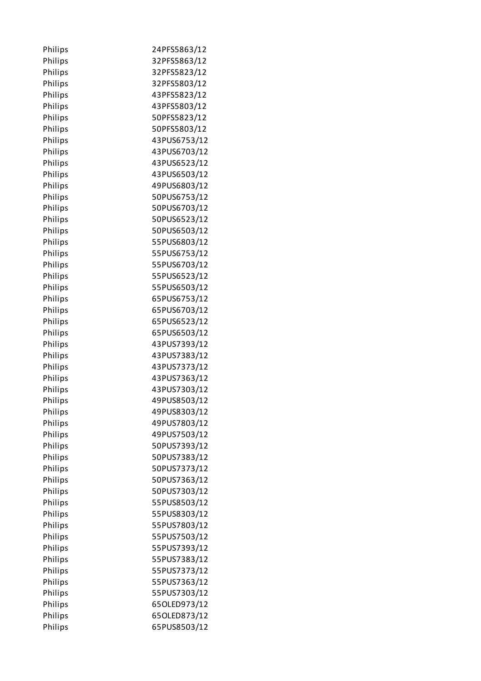| Philips | 24PFS5863/12 |
|---------|--------------|
| Philips | 32PFS5863/12 |
| Philips | 32PFS5823/12 |
| Philips | 32PFS5803/12 |
| Philips | 43PFS5823/12 |
| Philips | 43PFS5803/12 |
| Philips | 50PFS5823/12 |
| Philips | 50PFS5803/12 |
| Philips | 43PUS6753/12 |
| Philips | 43PUS6703/12 |
| Philips | 43PUS6523/12 |
| Philips | 43PUS6503/12 |
| Philips | 49PUS6803/12 |
| Philips | 50PUS6753/12 |
| Philips | 50PUS6703/12 |
| Philips | 50PUS6523/12 |
| Philips | 50PUS6503/12 |
| Philips | 55PUS6803/12 |
| Philips | 55PUS6753/12 |
| Philips | 55PUS6703/12 |
| Philips | 55PUS6523/12 |
| Philips | 55PUS6503/12 |
| Philips | 65PUS6753/12 |
| Philips | 65PUS6703/12 |
| Philips | 65PUS6523/12 |
| Philips | 65PUS6503/12 |
| Philips | 43PUS7393/12 |
| Philips | 43PUS7383/12 |
| Philips | 43PUS7373/12 |
| Philips | 43PUS7363/12 |
| Philips | 43PUS7303/12 |
| Philips | 49PUS8503/12 |
| Philips | 49PUS8303/12 |
| Philips | 49PUS7803/12 |
| Philips | 49PUS7503/12 |
| Philips | 50PUS7393/12 |
| Philips | 50PUS7383/12 |
| Philips | 50PUS7373/12 |
| Philips | 50PUS7363/12 |
| Philips | 50PUS7303/12 |
| Philips | 55PUS8503/12 |
| Philips | 55PUS8303/12 |
| Philips | 55PUS7803/12 |
| Philips | 55PUS7503/12 |
| Philips | 55PUS7393/12 |
| Philips | 55PUS7383/12 |
| Philips | 55PUS7373/12 |
| Philips | 55PUS7363/12 |
| Philips | 55PUS7303/12 |
| Philips | 65OLED973/12 |
| Philips | 65OLED873/12 |
| Philips | 65PUS8503/12 |
|         |              |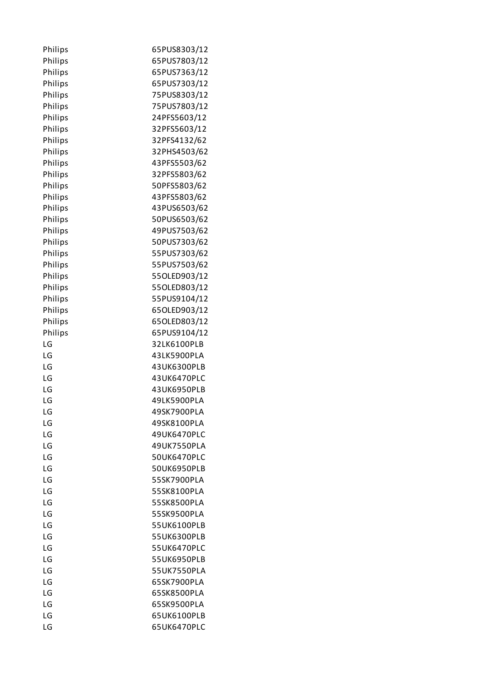| Philips | 65PUS8303/12 |
|---------|--------------|
| Philips | 65PUS7803/12 |
| Philips | 65PUS7363/12 |
| Philips | 65PUS7303/12 |
| Philips | 75PUS8303/12 |
| Philips | 75PUS7803/12 |
| Philips | 24PFS5603/12 |
| Philips | 32PFS5603/12 |
| Philips | 32PFS4132/62 |
| Philips | 32PHS4503/62 |
| Philips | 43PFS5503/62 |
| Philips | 32PFS5803/62 |
| Philips | 50PFS5803/62 |
| Philips | 43PFS5803/62 |
| Philips | 43PUS6503/62 |
| Philips | 50PUS6503/62 |
| Philips | 49PUS7503/62 |
| Philips | 50PUS7303/62 |
| Philips | 55PUS7303/62 |
| Philips | 55PUS7503/62 |
| Philips | 55OLED903/12 |
| Philips | 55OLED803/12 |
| Philips |              |
|         | 55PUS9104/12 |
| Philips | 65OLED903/12 |
| Philips | 65OLED803/12 |
| Philips | 65PUS9104/12 |
| LG      | 32LK6100PLB  |
| LG      | 43LK5900PLA  |
| LG      | 43UK6300PLB  |
| LG      | 43UK6470PLC  |
| LG      | 43UK6950PLB  |
| LG      | 49LK5900PLA  |
| LG      | 49SK7900PLA  |
| LG      | 49SK8100PLA  |
| LG      | 49UK6470PLC  |
| LG      | 49UK7550PLA  |
| LG      | 50UK6470PLC  |
| LG      | 50UK6950PLB  |
| LG      | 55SK7900PLA  |
| LG      | 55SK8100PLA  |
| LG      | 55SK8500PLA  |
| LG      | 55SK9500PLA  |
| LG      | 55UK6100PLB  |
| LG      | 55UK6300PLB  |
| LG      | 55UK6470PLC  |
| LG      | 55UK6950PLB  |
| LG      | 55UK7550PLA  |
| LG      | 65SK7900PLA  |
| LG      | 65SK8500PLA  |
| LG      | 65SK9500PLA  |
| LG      | 65UK6100PLB  |
| LG      | 65UK6470PLC  |
|         |              |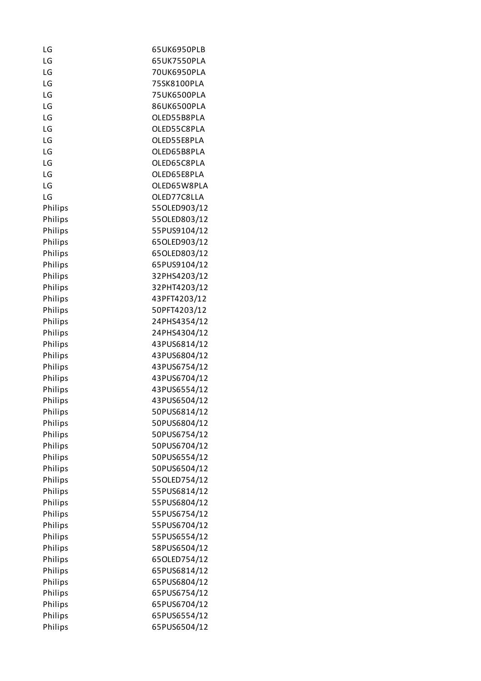| LG      | 65UK6950PLB  |
|---------|--------------|
| LG      | 65UK7550PLA  |
| LG      | 70UK6950PLA  |
| LG      | 75SK8100PLA  |
| LG      | 75UK6500PLA  |
| LG      | 86UK6500PLA  |
| LG      | OLED55B8PLA  |
| LG      | OLED55C8PLA  |
| LG      | OLED55E8PLA  |
| LG      | OLED65B8PLA  |
| LG      | OLED65C8PLA  |
| LG      | OLED65E8PLA  |
| LG      | OLED65W8PLA  |
| LG      | OLED77C8LLA  |
| Philips | 55OLED903/12 |
| Philips | 55OLED803/12 |
| Philips | 55PUS9104/12 |
| Philips | 65OLED903/12 |
| Philips | 65OLED803/12 |
| Philips | 65PUS9104/12 |
| Philips | 32PHS4203/12 |
| Philips | 32PHT4203/12 |
| Philips | 43PFT4203/12 |
| Philips | 50PFT4203/12 |
| Philips | 24PHS4354/12 |
| Philips | 24PHS4304/12 |
| Philips | 43PUS6814/12 |
| Philips | 43PUS6804/12 |
| Philips | 43PUS6754/12 |
| Philips | 43PUS6704/12 |
| Philips | 43PUS6554/12 |
| Philips | 43PUS6504/12 |
| Philips | 50PUS6814/12 |
| Philips | 50PUS6804/12 |
| Philips | 50PUS6754/12 |
| Philips | 50PUS6704/12 |
| Philips | 50PUS6554/12 |
| Philips | 50PUS6504/12 |
| Philips | 55OLED754/12 |
| Philips | 55PUS6814/12 |
| Philips | 55PUS6804/12 |
| Philips | 55PUS6754/12 |
| Philips | 55PUS6704/12 |
| Philips | 55PUS6554/12 |
| Philips | 58PUS6504/12 |
| Philips | 65OLED754/12 |
| Philips | 65PUS6814/12 |
| Philips | 65PUS6804/12 |
| Philips | 65PUS6754/12 |
| Philips | 65PUS6704/12 |
| Philips | 65PUS6554/12 |
| Philips | 65PUS6504/12 |
|         |              |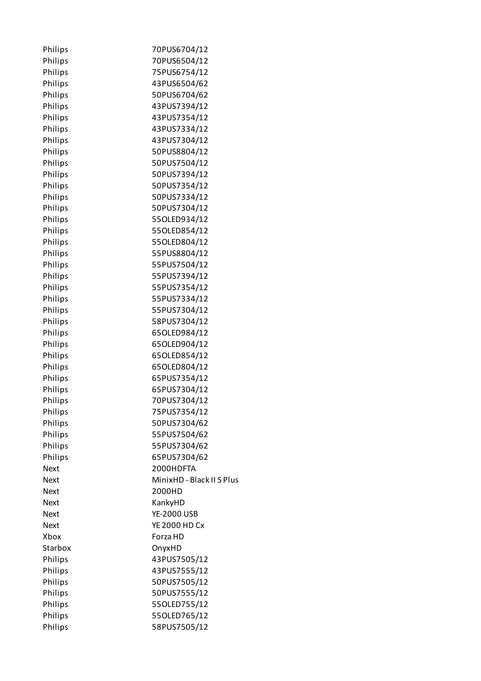| Philips     | 70PUS6704/12              |
|-------------|---------------------------|
| Philips     | 70PUS6504/12              |
| Philips     | 75PUS6754/12              |
| Philips     | 43PUS6504/62              |
| Philips     | 50PUS6704/62              |
| Philips     | 43PUS7394/12              |
| Philips     | 43PUS7354/12              |
| Philips     | 43PUS7334/12              |
| Philips     | 43PUS7304/12              |
| Philips     | 50PUS8804/12              |
| Philips     | 50PUS7504/12              |
| Philips     | 50PUS7394/12              |
| Philips     | 50PUS7354/12              |
| Philips     | 50PUS7334/12              |
| Philips     | 50PUS7304/12              |
| Philips     | 55OLED934/12              |
| Philips     | 55OLED854/12              |
| Philips     | 55OLED804/12              |
| Philips     | 55PUS8804/12              |
| Philips     | 55PUS7504/12              |
| Philips     | 55PUS7394/12              |
| Philips     | 55PUS7354/12              |
| Philips     | 55PUS7334/12              |
| Philips     | 55PUS7304/12              |
| Philips     | 58PUS7304/12              |
| Philips     | 65OLED984/12              |
| Philips     | 65OLED904/12              |
| Philips     | 65OLED854/12              |
| Philips     | 65OLED804/12              |
| Philips     | 65PUS7354/12              |
| Philips     | 65PUS7304/12              |
| Philips     | 70PUS7304/12              |
| Philips     | 75PUS7354/12              |
| Philips     | 50PUS7304/62              |
| Philips     | 55PUS7504/62              |
| Philips     | 55PUS7304/62              |
| Philips     | 65PUS7304/62              |
| <b>Next</b> | 2000HDFTA                 |
| <b>Next</b> | MinixHD - Black II S Plus |
| Next        | 2000HD                    |
| Next        | KankyHD                   |
| Next        | <b>YE-2000 USB</b>        |
| Next        | <b>YE 2000 HD Cx</b>      |
| Xbox        | Forza HD                  |
| Starbox     | OnyxHD                    |
| Philips     | 43PUS7505/12              |
| Philips     | 43PUS7555/12              |
| Philips     | 50PUS7505/12              |
| Philips     | 50PUS7555/12              |
| Philips     | 55OLED755/12              |
| Philips     | 55OLED765/12              |
| Philips     | 58PUS7505/12              |
|             |                           |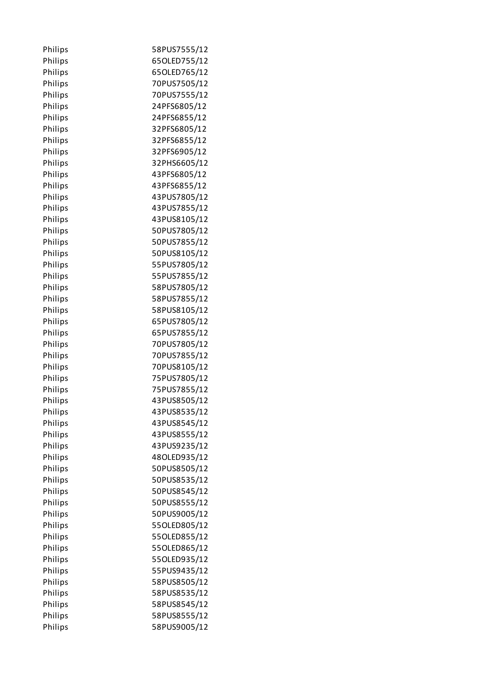| Philips | 58PUS7555/12 |
|---------|--------------|
| Philips | 65OLED755/12 |
| Philips | 65OLED765/12 |
| Philips | 70PUS7505/12 |
| Philips | 70PUS7555/12 |
| Philips | 24PFS6805/12 |
| Philips | 24PFS6855/12 |
| Philips | 32PFS6805/12 |
| Philips | 32PFS6855/12 |
| Philips | 32PFS6905/12 |
| Philips | 32PHS6605/12 |
| Philips | 43PFS6805/12 |
| Philips | 43PFS6855/12 |
| Philips | 43PUS7805/12 |
| Philips | 43PUS7855/12 |
| Philips | 43PUS8105/12 |
| Philips | 50PUS7805/12 |
| Philips | 50PUS7855/12 |
| Philips | 50PUS8105/12 |
| Philips | 55PUS7805/12 |
| Philips | 55PUS7855/12 |
| Philips | 58PUS7805/12 |
| Philips | 58PUS7855/12 |
| Philips | 58PUS8105/12 |
| Philips | 65PUS7805/12 |
| Philips | 65PUS7855/12 |
| Philips | 70PUS7805/12 |
| Philips | 70PUS7855/12 |
| Philips | 70PUS8105/12 |
| Philips | 75PUS7805/12 |
| Philips | 75PUS7855/12 |
| Philips | 43PUS8505/12 |
| Philips | 43PUS8535/12 |
| Philips | 43PUS8545/12 |
| Philips | 43PUS8555/12 |
| Philips | 43PUS9235/12 |
| Philips | 48OLED935/12 |
| Philips | 50PUS8505/12 |
| Philips | 50PUS8535/12 |
| Philips | 50PUS8545/12 |
| Philips | 50PUS8555/12 |
| Philips | 50PUS9005/12 |
| Philips | 55OLED805/12 |
| Philips | 55OLED855/12 |
| Philips | 55OLED865/12 |
| Philips | 55OLED935/12 |
| Philips | 55PUS9435/12 |
| Philips | 58PUS8505/12 |
| Philips | 58PUS8535/12 |
| Philips | 58PUS8545/12 |
| Philips | 58PUS8555/12 |
| Philips | 58PUS9005/12 |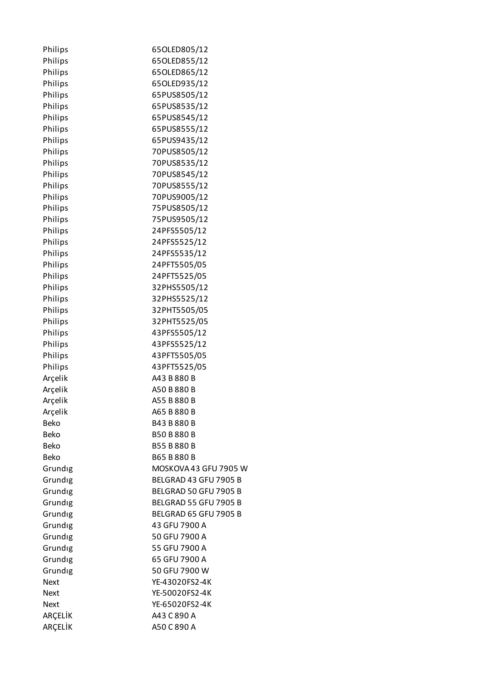| Philips     | 65OLED805/12                 |
|-------------|------------------------------|
| Philips     | 65OLED855/12                 |
| Philips     | 65OLED865/12                 |
| Philips     | 65OLED935/12                 |
| Philips     | 65PUS8505/12                 |
| Philips     | 65PUS8535/12                 |
| Philips     | 65PUS8545/12                 |
| Philips     | 65PUS8555/12                 |
| Philips     | 65PUS9435/12                 |
| Philips     | 70PUS8505/12                 |
| Philips     | 70PUS8535/12                 |
| Philips     | 70PUS8545/12                 |
| Philips     | 70PUS8555/12                 |
| Philips     | 70PUS9005/12                 |
| Philips     | 75PUS8505/12                 |
| Philips     | 75PUS9505/12                 |
| Philips     | 24PFS5505/12                 |
| Philips     | 24PFS5525/12                 |
| Philips     | 24PFS5535/12                 |
| Philips     | 24PFT5505/05                 |
| Philips     | 24PFT5525/05                 |
| Philips     | 32PHS5505/12                 |
| Philips     | 32PHS5525/12                 |
| Philips     | 32PHT5505/05                 |
| Philips     | 32PHT5525/05                 |
| Philips     | 43PFS5505/12                 |
| Philips     | 43PFS5525/12                 |
| Philips     | 43PFT5505/05                 |
| Philips     | 43PFT5525/05                 |
| Arçelik     | A43 B 880 B                  |
| Arcelik     | A50 B 880 B                  |
| Arçelik     | A55 B 880 B                  |
| Arçelik     | A65 B 880 B                  |
| <b>Beko</b> | B43 B 880 B                  |
| <b>Beko</b> | <b>B50 B880 B</b>            |
| <b>Beko</b> | B55 B 880 B                  |
| <b>Beko</b> | B65 B880 B                   |
| Grundig     | MOSKOVA 43 GFU 7905 W        |
| Grundig     | BELGRAD 43 GFU 7905 B        |
| Grundig     | BELGRAD 50 GFU 7905 B        |
| Grundig     | <b>BELGRAD 55 GFU 7905 B</b> |
| Grundig     | BELGRAD 65 GFU 7905 B        |
| Grundig     | 43 GFU 7900 A                |
| Grundig     | 50 GFU 7900 A                |
| Grundig     | 55 GFU 7900 A                |
| Grundig     | 65 GFU 7900 A                |
| Grundig     | 50 GFU 7900 W                |
| <b>Next</b> | YE-43020FS2-4K               |
| <b>Next</b> | YE-50020FS2-4K               |
| <b>Next</b> | YE-65020FS2-4K               |
| ARÇELİK     | A43 C 890 A                  |
| ARÇELİK     | A50 C 890 A                  |
|             |                              |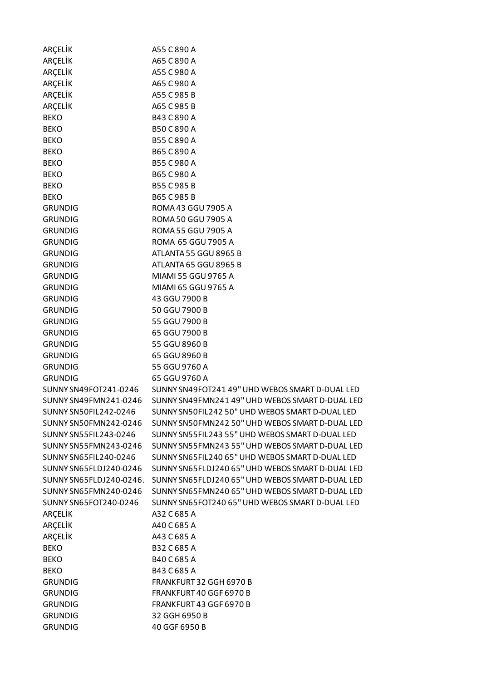| ARÇELİK                          | A55 C 890 A                                      |
|----------------------------------|--------------------------------------------------|
| ARÇELİK                          | A65 C 890 A                                      |
| ARÇELİK                          | A55 C 980 A                                      |
| ARÇELİK                          | A65 C 980 A                                      |
| ARÇELİK                          | A55 C 985 B                                      |
| ARÇELİK                          | A65 C 985 B                                      |
| <b>BEKO</b>                      | B43 C 890 A                                      |
| <b>BEKO</b>                      | B50 C 890 A                                      |
| <b>BEKO</b>                      | B55 C 890 A                                      |
| <b>BEKO</b>                      | B65 C 890 A                                      |
| <b>BEKO</b>                      | B55 C 980 A                                      |
| <b>BEKO</b>                      | B65 C 980 A                                      |
| <b>BEKO</b>                      | B55 C985 B                                       |
| <b>BEKO</b>                      | B65 C 985 B                                      |
| <b>GRUNDIG</b>                   | ROMA 43 GGU 7905 A                               |
| <b>GRUNDIG</b>                   | ROMA 50 GGU 7905 A                               |
| <b>GRUNDIG</b>                   | <b>ROMA 55 GGU 7905 A</b>                        |
| <b>GRUNDIG</b>                   | ROMA 65 GGU 7905 A                               |
| <b>GRUNDIG</b>                   | ATLANTA 55 GGU 8965 B                            |
| <b>GRUNDIG</b>                   | ATLANTA 65 GGU 8965 B                            |
| <b>GRUNDIG</b>                   | MIAMI 55 GGU 9765 A                              |
| <b>GRUNDIG</b>                   | MIAMI 65 GGU 9765 A                              |
| <b>GRUNDIG</b>                   | 43 GGU 7900 B                                    |
| <b>GRUNDIG</b>                   | 50 GGU 7900 B                                    |
| <b>GRUNDIG</b>                   | 55 GGU 7900 B                                    |
| <b>GRUNDIG</b>                   | 65 GGU 7900 B                                    |
| <b>GRUNDIG</b>                   | 55 GGU 8960 B                                    |
| <b>GRUNDIG</b>                   | 65 GGU 8960 B                                    |
| <b>GRUNDIG</b>                   | 55 GGU 9760 A                                    |
| <b>GRUNDIG</b>                   | 65 GGU 9760 A                                    |
| SUNNY SN49FOT241-0246            | SUNNY SN49FOT241 49" UHD WEBOS SMART D-DUAL LED  |
| SUNNY SN49FMN241-0246            | SUNNY SN49FMN241 49" UHD WEBOS SMART D-DUAL LED  |
| <b>SUNNY SN50FIL242-0246</b>     | SUNNY SN50FIL242 50" UHD WEBOS SMART D-DUAL LED  |
| SUNNY SN50FMN242-0246            | SUNNY SN50FMN242 50" UHD WEBOS SMART D-DUAL LED  |
| SUNNY SN55FIL243-0246            | SUNNY SN55FIL243 55" UHD WEBOS SMART D-DUAL LED  |
| SUNNY SN55FMN243-0246            | SUNNY SN55FMN243 55" UHD WEBOS SMART D-DUAL LED  |
| <b>SUNNY SN65FIL240-0246</b>     | SUNNY SN65FIL240 65" UHD WEBOS SMART D-DUAL LED  |
| SUNNY SN65FLDJ240-0246           | SUNNY SN65FLDJ240 65" UHD WEBOS SMART D-DUAL LED |
| SUNNY SN65FLDJ240-0246.          | SUNNY SN65FLDJ240 65" UHD WEBOS SMART D-DUAL LED |
| SUNNY SN65FMN240-0246            | SUNNY SN65FMN240 65" UHD WEBOS SMART D-DUAL LED  |
| SUNNY SN65FOT240-0246            | SUNNY SN65FOT240 65" UHD WEBOS SMART D-DUAL LED  |
| ARÇELİK                          | A32 C 685 A                                      |
| ARÇELİK                          | A40 C 685 A                                      |
| ARÇELİK                          | A43 C 685 A                                      |
| <b>BEKO</b>                      | B32 C 685 A                                      |
| <b>BEKO</b>                      | B40 C 685 A                                      |
| <b>BEKO</b>                      | B43 C 685 A                                      |
|                                  | FRANKFURT 32 GGH 6970 B                          |
| <b>GRUNDIG</b><br><b>GRUNDIG</b> | FRANKFURT 40 GGF 6970 B                          |
| <b>GRUNDIG</b>                   | FRANKFURT 43 GGF 6970 B                          |
|                                  |                                                  |
| <b>GRUNDIG</b>                   | 32 GGH 6950 B                                    |
| <b>GRUNDIG</b>                   | 40 GGF 6950 B                                    |